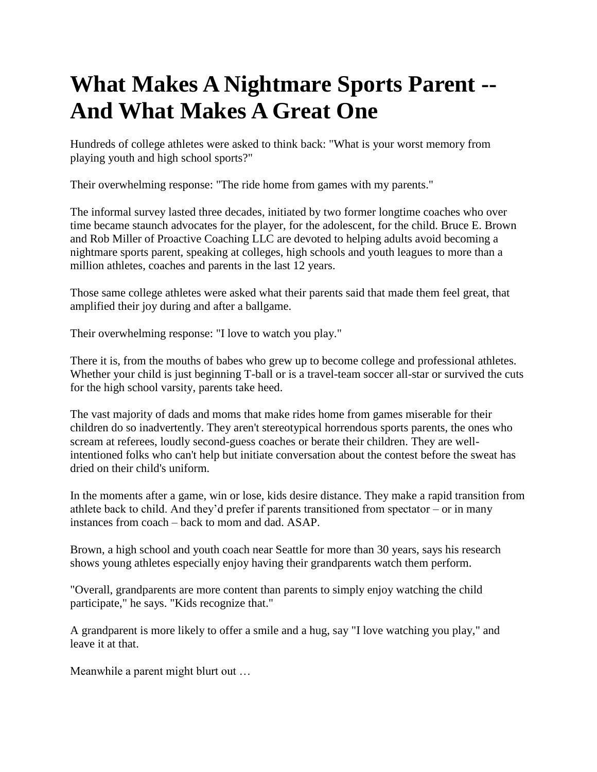## **What Makes A Nightmare Sports Parent -- And What Makes A Great One**

Hundreds of college athletes were asked to think back: "What is your worst memory from playing youth and high school sports?"

Their overwhelming response: "The ride home from games with my parents."

The informal survey lasted three decades, initiated by two former longtime coaches who over time became staunch advocates for the player, for the adolescent, for the child. Bruce E. Brown and Rob Miller of Proactive Coaching LLC are devoted to helping adults avoid becoming a nightmare sports parent, [speaking at colleges, high schools and youth leagues](http://www.proactivecoaching.info/) to more than a million athletes, coaches and parents in the last 12 years.

Those same college athletes were asked what their parents said that made them feel great, that amplified their joy during and after a ballgame.

Their overwhelming response: "I love to watch you play."

There it is, from the mouths of babes who grew up to become college and professional athletes. Whether your child is just beginning T-ball or is a travel-team soccer all-star or survived the cuts for the high school varsity, parents take heed.

The vast majority of dads and moms that make rides home from games miserable for their children do so inadvertently. They aren't stereotypical horrendous sports parents, the ones who scream at referees, loudly second-guess coaches or berate their children. They are wellintentioned folks who can't help but initiate conversation about the contest before the sweat has dried on their child's uniform.

In the moments after a game, win or lose, kids desire distance. They make a rapid transition from athlete back to child. And they'd prefer if parents transitioned from spectator – or in many instances from coach – back to mom and dad. ASAP.

Brown, a high school and youth coach near Seattle for more than 30 years, says his research shows young athletes especially enjoy having their grandparents watch them perform.

"Overall, grandparents are more content than parents to simply enjoy watching the child participate," he says. "Kids recognize that."

A grandparent is more likely to offer a smile and a hug, say "I love watching you play," and leave it at that.

Meanwhile a parent might blurt out …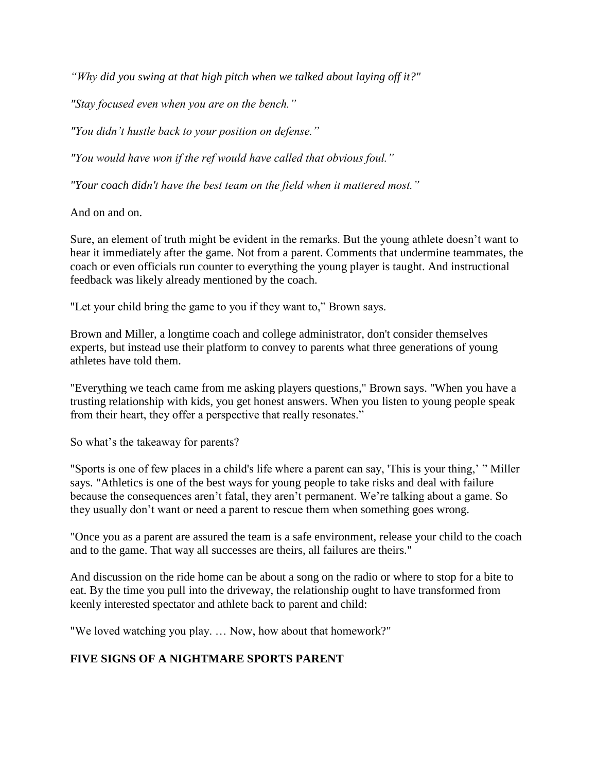*"Why did you swing at that high pitch when we talked about laying off it?"*

*"Stay focused even when you are on the bench."*

*"You didn't hustle back to your position on defense."*

*"You would have won if the ref would have called that obvious foul."*

*"Your coach didn't have the best team on the field when it mattered most."*

And on and on.

Sure, an element of truth might be evident in the remarks. But the young athlete doesn't want to hear it immediately after the game. Not from a parent. Comments that undermine teammates, the coach or even officials run counter to everything the young player is taught. And instructional feedback was likely already mentioned by the coach.

"Let your child bring the game to you if they want to," Brown says.

Brown and Miller, a longtime coach and college administrator, don't consider themselves experts, but instead use their platform to convey to parents what three generations of young athletes have told them.

"Everything we teach came from me asking players questions," Brown says. "When you have a trusting relationship with kids, you get honest answers. When you listen to young people speak from their heart, they offer a perspective that really resonates."

So what's the takeaway for parents?

"Sports is one of few places in a child's life where a parent can say, 'This is your thing,' " Miller says. "Athletics is one of the best ways for young people to take risks and deal with failure because the consequences aren't fatal, they aren't permanent. We're talking about a game. So they usually don't want or need a parent to rescue them when something goes wrong.

"Once you as a parent are assured the team is a safe environment, release your child to the coach and to the game. That way all successes are theirs, all failures are theirs."

And discussion on the ride home can be about a song on the radio or where to stop for a bite to eat. By the time you pull into the driveway, the relationship ought to have transformed from keenly interested spectator and athlete back to parent and child:

"We loved watching you play. … Now, how about that homework?"

## **FIVE SIGNS OF A NIGHTMARE SPORTS PARENT**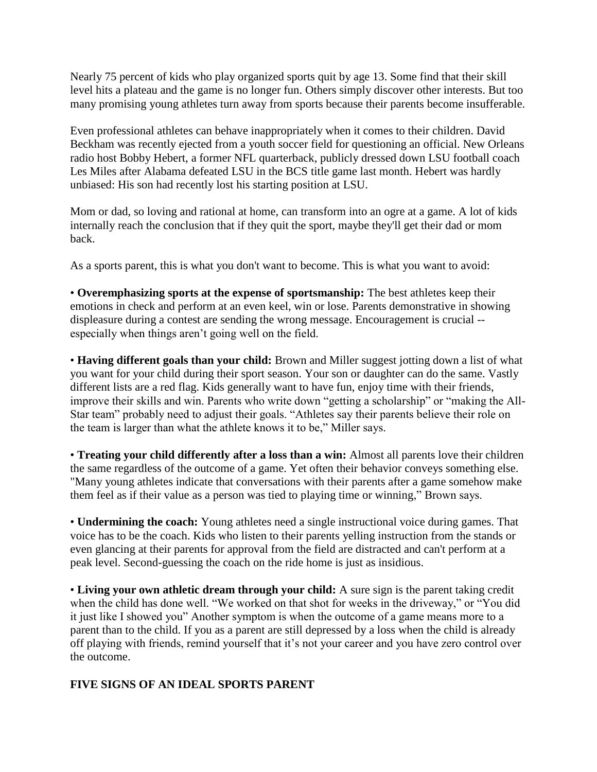Nearly 75 percent of kids who play organized sports quit by age 13. Some find that their skill level hits a plateau and the game is no longer fun. Others simply discover other interests. But too many promising young athletes turn away from sports because their parents become insufferable.

Even professional athletes can behave inappropriately when it comes to their children. David Beckham was recently ejected from a youth soccer field for questioning an official. New Orleans radio host Bobby Hebert, a former NFL quarterback, publicly dressed down LSU football coach Les Miles after Alabama defeated LSU in the BCS title game last month. Hebert was hardly unbiased: His son had recently lost his starting position at LSU.

Mom or dad, so loving and rational at home, can transform into an ogre at a game. A lot of kids internally reach the conclusion that if they quit the sport, maybe they'll get their dad or mom back.

As a sports parent, this is what you don't want to become. This is what you want to avoid:

• **Overemphasizing sports at the expense of sportsmanship:** The best athletes keep their emotions in check and perform at an even keel, win or lose. Parents demonstrative in showing displeasure during a contest are sending the wrong message. Encouragement is crucial - especially when things aren't going well on the field.

• **Having different goals than your child:** Brown and Miller suggest jotting down a list of what you want for your child during their sport season. Your son or daughter can do the same. Vastly different lists are a red flag. Kids generally want to have fun, enjoy time with their friends, improve their skills and win. Parents who write down "getting a scholarship" or "making the All-Star team" probably need to adjust their goals. "Athletes say their parents believe their role on the team is larger than what the athlete knows it to be," Miller says.

• **Treating your child differently after a loss than a win:** Almost all parents love their children the same regardless of the outcome of a game. Yet often their behavior conveys something else. "Many young athletes indicate that conversations with their parents after a game somehow make them feel as if their value as a person was tied to playing time or winning," Brown says.

• **Undermining the coach:** Young athletes need a single instructional voice during games. That voice has to be the coach. Kids who listen to their parents yelling instruction from the stands or even glancing at their parents for approval from the field are distracted and can't perform at a peak level. Second-guessing the coach on the ride home is just as insidious.

• **Living your own athletic dream through your child:** A sure sign is the parent taking credit when the child has done well. "We worked on that shot for weeks in the driveway," or "You did it just like I showed you" Another symptom is when the outcome of a game means more to a parent than to the child. If you as a parent are still depressed by a loss when the child is already off playing with friends, remind yourself that it's not your career and you have zero control over the outcome.

## **FIVE SIGNS OF AN IDEAL SPORTS PARENT**